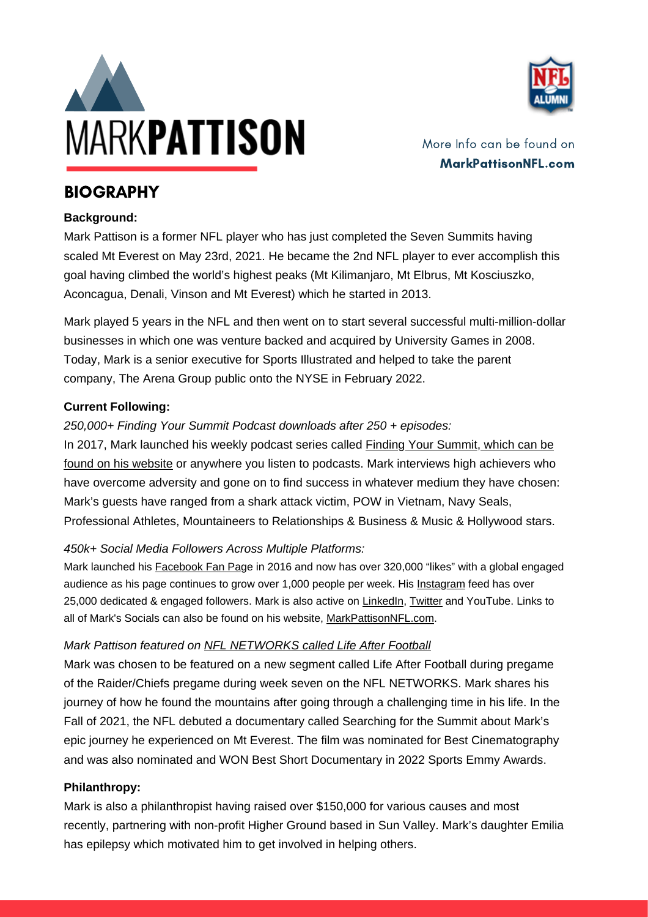



More Info can be found on MarkPattisonNFL.com

### **BIOGRAPHY**

#### **Background:**

Mark Pattison is a former NFL player who has just completed the Seven Summits having scaled Mt Everest on May 23rd, 2021. He became the 2nd NFL player to ever accomplish this goal having climbed the world's highest peaks (Mt Kilimanjaro, Mt Elbrus, Mt Kosciuszko, Aconcagua, Denali, Vinson and Mt Everest) which he started in 2013.

Mark played 5 years in the NFL and then went on to start several successful multi-million-dollar businesses in which one was venture backed and acquired by University Games in 2008. Today, Mark is a senior executive for Sports Illustrated and helped to take the parent company, The Arena Group public onto the NYSE in February 2022.

#### **Current Following:**

#### *250,000+ Finding Your Summit Podcast downloads after 250 + episodes:*

In 2017, Mark launched his weekly podcast series called **Finding Your [Summit,](https://markpattisonnfl.com/finding-your-summit/) which can be** found on his [website](https://markpattisonnfl.com/finding-your-summit/) or anywhere you listen to podcasts. Mark interviews high achievers who have overcome adversity and gone on to find success in whatever medium they have chosen: Mark's guests have ranged from a shark attack victim, POW in Vietnam, Navy Seals, Professional Athletes, Mountaineers to Relationships & Business & Music & Hollywood stars.

### *450k+ Social Media Followers Across Multiple Platforms:*

Mark launched his **Facebook Fan Page in 2016 and now has over 320,000** "likes" with a global engaged audience as his page continues to grow over 1,000 people per week. His [Instagram](https://www.instagram.com/markpattisonnfl/) feed has over 25,000 dedicated & engaged followers. Mark is also active on [LinkedIn,](https://www.linkedin.com/in/marklpattison/) [Twitter](https://twitter.com/MarkPattisonNFL) and YouTube. Links to all of Mark's Socials can also be found on his website, [MarkPattisonNFL.com.](https://markpattisonnfl.com/)

### *Mark Pattison featured on NFL [NETWORKS](http://www.nfl.com/videos/nfl-360/0ap3000000863888/Life-After-Football-Mark-Pattison) called Life After Football*

Mark was chosen to be featured on a new segment called Life After Football during pregame of the Raider/Chiefs pregame during week seven on the NFL NETWORKS. Mark shares his journey of how he found the mountains after going through a challenging time in his life. In the Fall of 2021, the NFL debuted a documentary called Searching for the Summit about Mark's epic journey he experienced on Mt Everest. The film was nominated for Best Cinematography and was also nominated and WON Best Short Documentary in 2022 Sports Emmy Awards.

#### **Philanthropy:**

Mark is also a philanthropist having raised over \$150,000 for various causes and most recently, partnering with non-profit Higher Ground based in Sun Valley. Mark's daughter Emilia has epilepsy which motivated him to get involved in helping others.